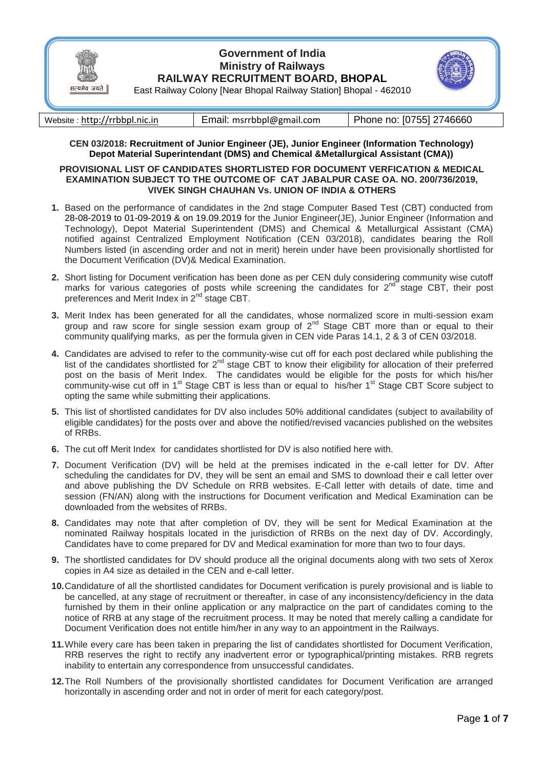

## **Government of India Ministry of Railways RAILWAY RECRUITMENT BOARD, BHOPAL**



East Railway Colony [Near Bhopal Railway Station] Bhopal - 462010

| Website: http://rrbbpl.nic.in | Email: msrrbbpl@gmail.com | Phone no: [0755] 2746660 |
|-------------------------------|---------------------------|--------------------------|
|-------------------------------|---------------------------|--------------------------|

### **CEN 03/2018: Recruitment of Junior Engineer (JE), Junior Engineer (Information Technology) Depot Material Superintendant (DMS) and Chemical &Metallurgical Assistant (CMA))**

#### **PROVISIONAL LIST OF CANDIDATES SHORTLISTED FOR DOCUMENT VERFICATION & MEDICAL EXAMINATION SUBJECT TO THE OUTCOME OF CAT JABALPUR CASE OA. NO. 200/736/2019, VIVEK SINGH CHAUHAN Vs. UNION OF INDIA & OTHERS**

- **1.** Based on the performance of candidates in the 2nd stage Computer Based Test (CBT) conducted from 28-08-2019 to 01-09-2019 & on 19.09.2019 for the Junior Engineer(JE), Junior Engineer (Information and Technology), Depot Material Superintendent (DMS) and Chemical & Metallurgical Assistant (CMA) notified against Centralized Employment Notification (CEN 03/2018), candidates bearing the Roll Numbers listed (in ascending order and not in merit) herein under have been provisionally shortlisted for the Document Verification (DV)& Medical Examination.
- **2.** Short listing for Document verification has been done as per CEN duly considering community wise cutoff marks for various categories of posts while screening the candidates for  $2^{nd}$  stage CBT, their post preferences and Merit Index in 2<sup>nd</sup> stage CBT.
- **3.** Merit Index has been generated for all the candidates, whose normalized score in multi-session exam group and raw score for single session exam group of  $2<sup>nd</sup>$  Stage CBT more than or equal to their community qualifying marks, as per the formula given in CEN vide Paras 14.1, 2 & 3 of CEN 03/2018.
- **4.** Candidates are advised to refer to the community-wise cut off for each post declared while publishing the list of the candidates shortlisted for  $2^{nd}$  stage CBT to know their eligibility for allocation of their preferred post on the basis of Merit Index. The candidates would be eligible for the posts for which his/her community-wise cut off in 1<sup>st</sup> Stage CBT is less than or equal to his/her 1<sup>st</sup> Stage CBT Score subject to opting the same while submitting their applications.
- **5.** This list of shortlisted candidates for DV also includes 50% additional candidates (subject to availability of eligible candidates) for the posts over and above the notified/revised vacancies published on the websites of RRBs.
- **6.** The cut off Merit Index for candidates shortlisted for DV is also notified here with.
- **7.** Document Verification (DV) will be held at the premises indicated in the e-call letter for DV. After scheduling the candidates for DV, they will be sent an email and SMS to download their e call letter over and above publishing the DV Schedule on RRB websites. E-Call letter with details of date, time and session (FN/AN) along with the instructions for Document verification and Medical Examination can be downloaded from the websites of RRBs.
- **8.** Candidates may note that after completion of DV, they will be sent for Medical Examination at the nominated Railway hospitals located in the jurisdiction of RRBs on the next day of DV. Accordingly, Candidates have to come prepared for DV and Medical examination for more than two to four days.
- **9.** The shortlisted candidates for DV should produce all the original documents along with two sets of Xerox copies in A4 size as detailed in the CEN and e-call letter.
- **10.**Candidature of all the shortlisted candidates for Document verification is purely provisional and is liable to be cancelled, at any stage of recruitment or thereafter, in case of any inconsistency/deficiency in the data furnished by them in their online application or any malpractice on the part of candidates coming to the notice of RRB at any stage of the recruitment process. It may be noted that merely calling a candidate for Document Verification does not entitle him/her in any way to an appointment in the Railways.
- **11.**While every care has been taken in preparing the list of candidates shortlisted for Document Verification, RRB reserves the right to rectify any inadvertent error or typographical/printing mistakes. RRB regrets inability to entertain any correspondence from unsuccessful candidates.
- **12.**The Roll Numbers of the provisionally shortlisted candidates for Document Verification are arranged horizontally in ascending order and not in order of merit for each category/post.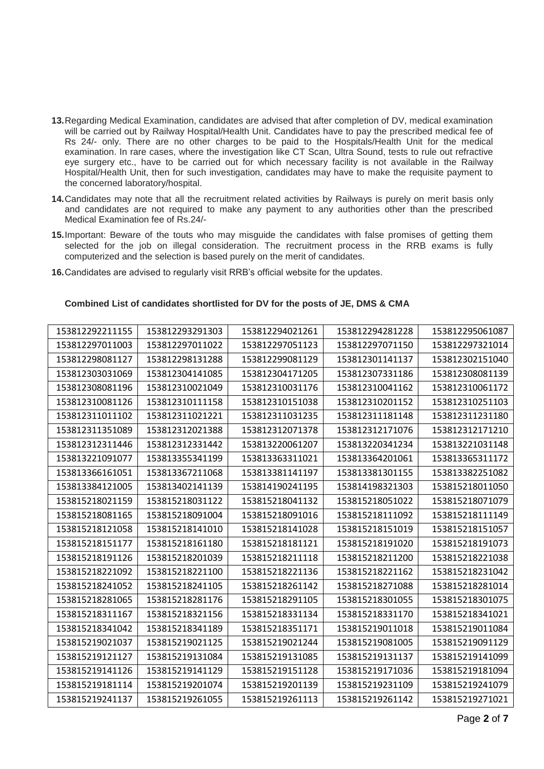- **13.**Regarding Medical Examination, candidates are advised that after completion of DV, medical examination will be carried out by Railway Hospital/Health Unit. Candidates have to pay the prescribed medical fee of Rs 24/- only. There are no other charges to be paid to the Hospitals/Health Unit for the medical examination. In rare cases, where the investigation like CT Scan, Ultra Sound, tests to rule out refractive eye surgery etc., have to be carried out for which necessary facility is not available in the Railway Hospital/Health Unit, then for such investigation, candidates may have to make the requisite payment to the concerned laboratory/hospital.
- **14.**Candidates may note that all the recruitment related activities by Railways is purely on merit basis only and candidates are not required to make any payment to any authorities other than the prescribed Medical Examination fee of Rs.24/-
- **15.**Important: Beware of the touts who may misguide the candidates with false promises of getting them selected for the job on illegal consideration. The recruitment process in the RRB exams is fully computerized and the selection is based purely on the merit of candidates.
- **16.**Candidates are advised to regularly visit RRB's official website for the updates.

| 153812292211155 | 153812293291303 | 153812294021261 | 153812294281228 | 153812295061087 |
|-----------------|-----------------|-----------------|-----------------|-----------------|
| 153812297011003 | 153812297011022 | 153812297051123 | 153812297071150 | 153812297321014 |
| 153812298081127 | 153812298131288 | 153812299081129 | 153812301141137 | 153812302151040 |
| 153812303031069 | 153812304141085 | 153812304171205 | 153812307331186 | 153812308081139 |
| 153812308081196 | 153812310021049 | 153812310031176 | 153812310041162 | 153812310061172 |
| 153812310081126 | 153812310111158 | 153812310151038 | 153812310201152 | 153812310251103 |
| 153812311011102 | 153812311021221 | 153812311031235 | 153812311181148 | 153812311231180 |
| 153812311351089 | 153812312021388 | 153812312071378 | 153812312171076 | 153812312171210 |
| 153812312311446 | 153812312331442 | 153813220061207 | 153813220341234 | 153813221031148 |
| 153813221091077 | 153813355341199 | 153813363311021 | 153813364201061 | 153813365311172 |
| 153813366161051 | 153813367211068 | 153813381141197 | 153813381301155 | 153813382251082 |
| 153813384121005 | 153813402141139 | 153814190241195 | 153814198321303 | 153815218011050 |
| 153815218021159 | 153815218031122 | 153815218041132 | 153815218051022 | 153815218071079 |
| 153815218081165 | 153815218091004 | 153815218091016 | 153815218111092 | 153815218111149 |
| 153815218121058 | 153815218141010 | 153815218141028 | 153815218151019 | 153815218151057 |
| 153815218151177 | 153815218161180 | 153815218181121 | 153815218191020 | 153815218191073 |
| 153815218191126 | 153815218201039 | 153815218211118 | 153815218211200 | 153815218221038 |
| 153815218221092 | 153815218221100 | 153815218221136 | 153815218221162 | 153815218231042 |
| 153815218241052 | 153815218241105 | 153815218261142 | 153815218271088 | 153815218281014 |
| 153815218281065 | 153815218281176 | 153815218291105 | 153815218301055 | 153815218301075 |
| 153815218311167 | 153815218321156 | 153815218331134 | 153815218331170 | 153815218341021 |
| 153815218341042 | 153815218341189 | 153815218351171 | 153815219011018 | 153815219011084 |
| 153815219021037 | 153815219021125 | 153815219021244 | 153815219081005 | 153815219091129 |
| 153815219121127 | 153815219131084 | 153815219131085 | 153815219131137 | 153815219141099 |
| 153815219141126 | 153815219141129 | 153815219151128 | 153815219171036 | 153815219181094 |
| 153815219181114 | 153815219201074 | 153815219201139 | 153815219231109 | 153815219241079 |
| 153815219241137 | 153815219261055 | 153815219261113 | 153815219261142 | 153815219271021 |

#### **Combined List of candidates shortlisted for DV for the posts of JE, DMS & CMA**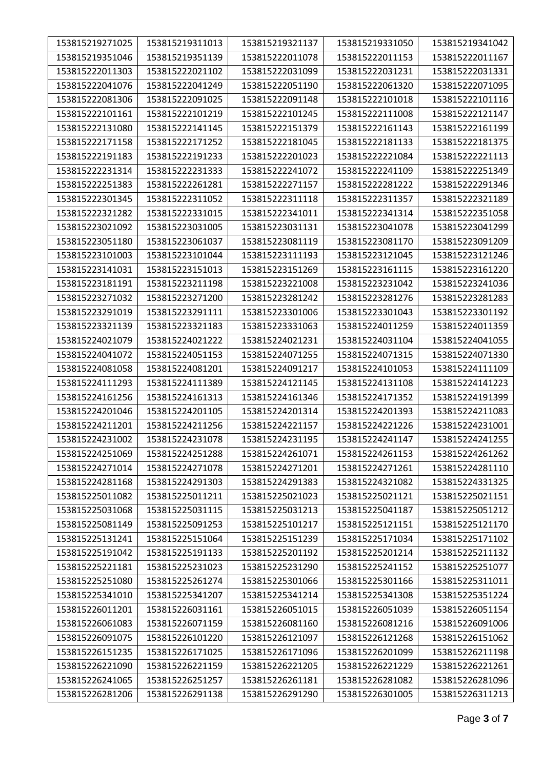| 153815219271025 | 153815219311013 | 153815219321137 | 153815219331050 | 153815219341042 |
|-----------------|-----------------|-----------------|-----------------|-----------------|
| 153815219351046 | 153815219351139 | 153815222011078 | 153815222011153 | 153815222011167 |
| 153815222011303 | 153815222021102 | 153815222031099 | 153815222031231 | 153815222031331 |
| 153815222041076 | 153815222041249 | 153815222051190 | 153815222061320 | 153815222071095 |
| 153815222081306 | 153815222091025 | 153815222091148 | 153815222101018 | 153815222101116 |
| 153815222101161 | 153815222101219 | 153815222101245 | 153815222111008 | 153815222121147 |
| 153815222131080 | 153815222141145 | 153815222151379 | 153815222161143 | 153815222161199 |
| 153815222171158 | 153815222171252 | 153815222181045 | 153815222181133 | 153815222181375 |
| 153815222191183 | 153815222191233 | 153815222201023 | 153815222221084 | 153815222221113 |
| 153815222231314 | 153815222231333 | 153815222241072 | 153815222241109 | 153815222251349 |
| 153815222251383 | 153815222261281 | 153815222271157 | 153815222281222 | 153815222291346 |
| 153815222301345 | 153815222311052 | 153815222311118 | 153815222311357 | 153815222321189 |
| 153815222321282 | 153815222331015 | 153815222341011 | 153815222341314 | 153815222351058 |
| 153815223021092 | 153815223031005 | 153815223031131 | 153815223041078 | 153815223041299 |
| 153815223051180 | 153815223061037 | 153815223081119 | 153815223081170 | 153815223091209 |
| 153815223101003 | 153815223101044 | 153815223111193 | 153815223121045 | 153815223121246 |
| 153815223141031 | 153815223151013 | 153815223151269 | 153815223161115 | 153815223161220 |
| 153815223181191 | 153815223211198 | 153815223221008 | 153815223231042 | 153815223241036 |
| 153815223271032 | 153815223271200 | 153815223281242 | 153815223281276 | 153815223281283 |
| 153815223291019 | 153815223291111 | 153815223301006 | 153815223301043 | 153815223301192 |
| 153815223321139 | 153815223321183 | 153815223331063 | 153815224011259 | 153815224011359 |
| 153815224021079 | 153815224021222 | 153815224021231 | 153815224031104 | 153815224041055 |
| 153815224041072 | 153815224051153 | 153815224071255 | 153815224071315 | 153815224071330 |
| 153815224081058 | 153815224081201 | 153815224091217 | 153815224101053 | 153815224111109 |
| 153815224111293 | 153815224111389 | 153815224121145 | 153815224131108 | 153815224141223 |
| 153815224161256 | 153815224161313 | 153815224161346 | 153815224171352 | 153815224191399 |
| 153815224201046 | 153815224201105 | 153815224201314 | 153815224201393 | 153815224211083 |
| 153815224211201 | 153815224211256 | 153815224221157 | 153815224221226 | 153815224231001 |
| 153815224231002 | 153815224231078 | 153815224231195 | 153815224241147 | 153815224241255 |
| 153815224251069 | 153815224251288 | 153815224261071 | 153815224261153 | 153815224261262 |
| 153815224271014 | 153815224271078 | 153815224271201 | 153815224271261 | 153815224281110 |
| 153815224281168 | 153815224291303 | 153815224291383 | 153815224321082 | 153815224331325 |
| 153815225011082 | 153815225011211 | 153815225021023 | 153815225021121 | 153815225021151 |
| 153815225031068 | 153815225031115 | 153815225031213 | 153815225041187 | 153815225051212 |
| 153815225081149 | 153815225091253 | 153815225101217 | 153815225121151 | 153815225121170 |
| 153815225131241 | 153815225151064 | 153815225151239 | 153815225171034 | 153815225171102 |
| 153815225191042 | 153815225191133 | 153815225201192 | 153815225201214 | 153815225211132 |
| 153815225221181 | 153815225231023 | 153815225231290 | 153815225241152 | 153815225251077 |
| 153815225251080 | 153815225261274 | 153815225301066 | 153815225301166 | 153815225311011 |
| 153815225341010 | 153815225341207 | 153815225341214 | 153815225341308 | 153815225351224 |
| 153815226011201 | 153815226031161 | 153815226051015 | 153815226051039 | 153815226051154 |
| 153815226061083 | 153815226071159 | 153815226081160 | 153815226081216 | 153815226091006 |
| 153815226091075 | 153815226101220 | 153815226121097 | 153815226121268 | 153815226151062 |
| 153815226151235 | 153815226171025 | 153815226171096 | 153815226201099 | 153815226211198 |
| 153815226221090 | 153815226221159 | 153815226221205 | 153815226221229 | 153815226221261 |
| 153815226241065 | 153815226251257 | 153815226261181 | 153815226281082 | 153815226281096 |
| 153815226281206 | 153815226291138 | 153815226291290 | 153815226301005 | 153815226311213 |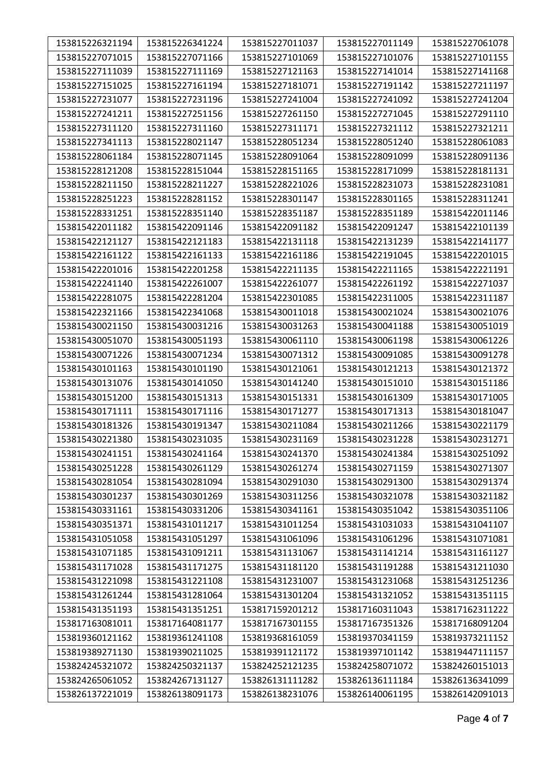| 153815226321194 | 153815226341224 | 153815227011037 | 153815227011149 | 153815227061078 |
|-----------------|-----------------|-----------------|-----------------|-----------------|
| 153815227071015 | 153815227071166 | 153815227101069 | 153815227101076 | 153815227101155 |
| 153815227111039 | 153815227111169 | 153815227121163 | 153815227141014 | 153815227141168 |
| 153815227151025 | 153815227161194 | 153815227181071 | 153815227191142 | 153815227211197 |
| 153815227231077 | 153815227231196 | 153815227241004 | 153815227241092 | 153815227241204 |
| 153815227241211 | 153815227251156 | 153815227261150 | 153815227271045 | 153815227291110 |
| 153815227311120 | 153815227311160 | 153815227311171 | 153815227321112 | 153815227321211 |
| 153815227341113 | 153815228021147 | 153815228051234 | 153815228051240 | 153815228061083 |
| 153815228061184 | 153815228071145 | 153815228091064 | 153815228091099 | 153815228091136 |
| 153815228121208 | 153815228151044 | 153815228151165 | 153815228171099 | 153815228181131 |
| 153815228211150 | 153815228211227 | 153815228221026 | 153815228231073 | 153815228231081 |
| 153815228251223 | 153815228281152 | 153815228301147 | 153815228301165 | 153815228311241 |
| 153815228331251 | 153815228351140 | 153815228351187 | 153815228351189 | 153815422011146 |
| 153815422011182 | 153815422091146 | 153815422091182 | 153815422091247 | 153815422101139 |
| 153815422121127 | 153815422121183 | 153815422131118 | 153815422131239 | 153815422141177 |
| 153815422161122 | 153815422161133 | 153815422161186 | 153815422191045 | 153815422201015 |
| 153815422201016 | 153815422201258 | 153815422211135 | 153815422211165 | 153815422221191 |
| 153815422241140 | 153815422261007 | 153815422261077 | 153815422261192 | 153815422271037 |
| 153815422281075 | 153815422281204 | 153815422301085 | 153815422311005 | 153815422311187 |
| 153815422321166 | 153815422341068 | 153815430011018 | 153815430021024 | 153815430021076 |
| 153815430021150 | 153815430031216 | 153815430031263 | 153815430041188 | 153815430051019 |
| 153815430051070 | 153815430051193 | 153815430061110 | 153815430061198 | 153815430061226 |
| 153815430071226 | 153815430071234 | 153815430071312 | 153815430091085 | 153815430091278 |
| 153815430101163 | 153815430101190 | 153815430121061 | 153815430121213 | 153815430121372 |
| 153815430131076 | 153815430141050 | 153815430141240 | 153815430151010 | 153815430151186 |
| 153815430151200 | 153815430151313 | 153815430151331 | 153815430161309 | 153815430171005 |
| 153815430171111 | 153815430171116 | 153815430171277 | 153815430171313 | 153815430181047 |
| 153815430181326 | 153815430191347 | 153815430211084 | 153815430211266 | 153815430221179 |
| 153815430221380 | 153815430231035 | 153815430231169 | 153815430231228 | 153815430231271 |
| 153815430241151 | 153815430241164 | 153815430241370 | 153815430241384 | 153815430251092 |
| 153815430251228 | 153815430261129 | 153815430261274 | 153815430271159 | 153815430271307 |
| 153815430281054 | 153815430281094 | 153815430291030 | 153815430291300 | 153815430291374 |
| 153815430301237 | 153815430301269 | 153815430311256 | 153815430321078 | 153815430321182 |
| 153815430331161 | 153815430331206 | 153815430341161 | 153815430351042 | 153815430351106 |
| 153815430351371 | 153815431011217 | 153815431011254 | 153815431031033 | 153815431041107 |
| 153815431051058 | 153815431051297 | 153815431061096 | 153815431061296 | 153815431071081 |
| 153815431071185 | 153815431091211 | 153815431131067 | 153815431141214 | 153815431161127 |
| 153815431171028 | 153815431171275 | 153815431181120 | 153815431191288 | 153815431211030 |
| 153815431221098 | 153815431221108 | 153815431231007 | 153815431231068 | 153815431251236 |
| 153815431261244 | 153815431281064 | 153815431301204 | 153815431321052 | 153815431351115 |
| 153815431351193 | 153815431351251 | 153817159201212 | 153817160311043 | 153817162311222 |
| 153817163081011 | 153817164081177 | 153817167301155 | 153817167351326 | 153817168091204 |
| 153819360121162 | 153819361241108 | 153819368161059 | 153819370341159 | 153819373211152 |
| 153819389271130 | 153819390211025 | 153819391121172 | 153819397101142 | 153819447111157 |
| 153824245321072 | 153824250321137 | 153824252121235 | 153824258071072 | 153824260151013 |
| 153824265061052 | 153824267131127 | 153826131111282 | 153826136111184 | 153826136341099 |
| 153826137221019 | 153826138091173 | 153826138231076 | 153826140061195 | 153826142091013 |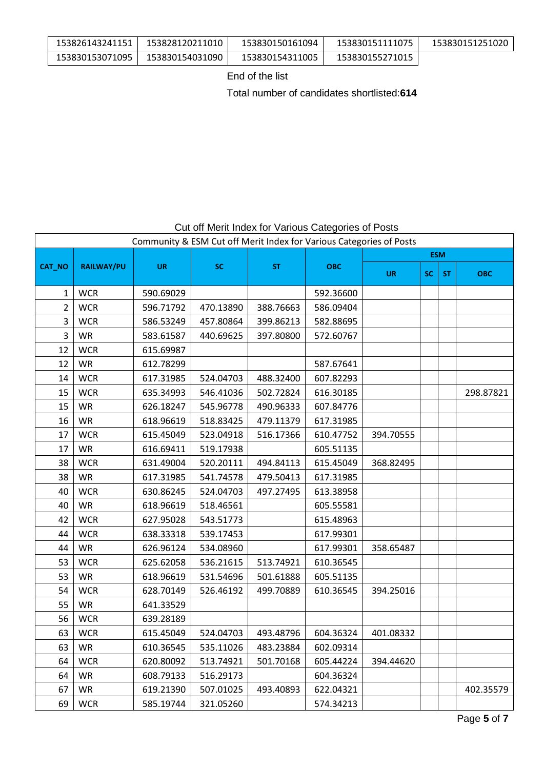| 153826143241151 | 153828120211010 | 153830150161094 | 153830151111075 | 153830151251020 |
|-----------------|-----------------|-----------------|-----------------|-----------------|
| 153830153071095 | 153830154031090 | 153830154311005 | 153830155271015 |                 |

End of the list

Total number of candidates shortlisted:**614**

# Cut off Merit Index for Various Categories of Posts

| Community & ESM Cut off Merit Index for Various Categories of Posts<br><b>ESM</b><br><b>RAILWAY/PU</b><br><b>SC</b><br>CAT_NO<br><b>UR</b><br><b>ST</b><br><b>OBC</b><br><b>UR</b><br>SC.<br><b>ST</b><br><b>WCR</b><br>592.36600<br>1<br>590.69029<br>$\overline{2}$<br><b>WCR</b><br>596.71792<br>388.76663<br>470.13890<br>586.09404<br>3<br><b>WCR</b><br>586.53249<br>457.80864<br>399.86213<br>582.88695<br>3<br><b>WR</b><br>440.69625<br>397.80800<br>583.61587<br>572.60767<br><b>WCR</b><br>615.69987<br>12<br>12<br><b>WR</b><br>612.78299<br>587.67641<br><b>WCR</b><br>14<br>617.31985<br>524.04703<br>488.32400<br>607.82293<br>15<br><b>WCR</b><br>635.34993<br>546.41036<br>502.72824<br>616.30185<br><b>WR</b><br>15<br>626.18247<br>545.96778<br>490.96333<br>607.84776<br><b>WR</b><br>16<br>618.96619<br>518.83425<br>479.11379<br>617.31985<br>17<br><b>WCR</b><br>615.45049<br>523.04918<br>610.47752<br>516.17366<br>394.70555 |            |           |           |           |           |           |  |  |            |  |
|-------------------------------------------------------------------------------------------------------------------------------------------------------------------------------------------------------------------------------------------------------------------------------------------------------------------------------------------------------------------------------------------------------------------------------------------------------------------------------------------------------------------------------------------------------------------------------------------------------------------------------------------------------------------------------------------------------------------------------------------------------------------------------------------------------------------------------------------------------------------------------------------------------------------------------------------------------|------------|-----------|-----------|-----------|-----------|-----------|--|--|------------|--|
|                                                                                                                                                                                                                                                                                                                                                                                                                                                                                                                                                                                                                                                                                                                                                                                                                                                                                                                                                       |            |           |           |           |           |           |  |  |            |  |
|                                                                                                                                                                                                                                                                                                                                                                                                                                                                                                                                                                                                                                                                                                                                                                                                                                                                                                                                                       |            |           |           |           |           |           |  |  | <b>OBC</b> |  |
|                                                                                                                                                                                                                                                                                                                                                                                                                                                                                                                                                                                                                                                                                                                                                                                                                                                                                                                                                       |            |           |           |           |           |           |  |  |            |  |
|                                                                                                                                                                                                                                                                                                                                                                                                                                                                                                                                                                                                                                                                                                                                                                                                                                                                                                                                                       |            |           |           |           |           |           |  |  |            |  |
|                                                                                                                                                                                                                                                                                                                                                                                                                                                                                                                                                                                                                                                                                                                                                                                                                                                                                                                                                       |            |           |           |           |           |           |  |  |            |  |
|                                                                                                                                                                                                                                                                                                                                                                                                                                                                                                                                                                                                                                                                                                                                                                                                                                                                                                                                                       |            |           |           |           |           |           |  |  |            |  |
|                                                                                                                                                                                                                                                                                                                                                                                                                                                                                                                                                                                                                                                                                                                                                                                                                                                                                                                                                       |            |           |           |           |           |           |  |  |            |  |
|                                                                                                                                                                                                                                                                                                                                                                                                                                                                                                                                                                                                                                                                                                                                                                                                                                                                                                                                                       |            |           |           |           |           |           |  |  |            |  |
|                                                                                                                                                                                                                                                                                                                                                                                                                                                                                                                                                                                                                                                                                                                                                                                                                                                                                                                                                       |            |           |           |           |           |           |  |  |            |  |
|                                                                                                                                                                                                                                                                                                                                                                                                                                                                                                                                                                                                                                                                                                                                                                                                                                                                                                                                                       |            |           |           |           |           |           |  |  | 298.87821  |  |
|                                                                                                                                                                                                                                                                                                                                                                                                                                                                                                                                                                                                                                                                                                                                                                                                                                                                                                                                                       |            |           |           |           |           |           |  |  |            |  |
|                                                                                                                                                                                                                                                                                                                                                                                                                                                                                                                                                                                                                                                                                                                                                                                                                                                                                                                                                       |            |           |           |           |           |           |  |  |            |  |
|                                                                                                                                                                                                                                                                                                                                                                                                                                                                                                                                                                                                                                                                                                                                                                                                                                                                                                                                                       |            |           |           |           |           |           |  |  |            |  |
| 17                                                                                                                                                                                                                                                                                                                                                                                                                                                                                                                                                                                                                                                                                                                                                                                                                                                                                                                                                    | <b>WR</b>  | 616.69411 | 519.17938 |           | 605.51135 |           |  |  |            |  |
| 38                                                                                                                                                                                                                                                                                                                                                                                                                                                                                                                                                                                                                                                                                                                                                                                                                                                                                                                                                    | <b>WCR</b> | 631.49004 | 520.20111 | 494.84113 | 615.45049 | 368.82495 |  |  |            |  |
| 38                                                                                                                                                                                                                                                                                                                                                                                                                                                                                                                                                                                                                                                                                                                                                                                                                                                                                                                                                    | <b>WR</b>  | 617.31985 | 541.74578 | 479.50413 | 617.31985 |           |  |  |            |  |
| 40                                                                                                                                                                                                                                                                                                                                                                                                                                                                                                                                                                                                                                                                                                                                                                                                                                                                                                                                                    | <b>WCR</b> | 630.86245 | 524.04703 | 497.27495 | 613.38958 |           |  |  |            |  |
| 40                                                                                                                                                                                                                                                                                                                                                                                                                                                                                                                                                                                                                                                                                                                                                                                                                                                                                                                                                    | <b>WR</b>  | 618.96619 | 518.46561 |           | 605.55581 |           |  |  |            |  |
| 42                                                                                                                                                                                                                                                                                                                                                                                                                                                                                                                                                                                                                                                                                                                                                                                                                                                                                                                                                    | <b>WCR</b> | 627.95028 | 543.51773 |           | 615.48963 |           |  |  |            |  |
| 44                                                                                                                                                                                                                                                                                                                                                                                                                                                                                                                                                                                                                                                                                                                                                                                                                                                                                                                                                    | <b>WCR</b> | 638.33318 | 539.17453 |           | 617.99301 |           |  |  |            |  |
| 44                                                                                                                                                                                                                                                                                                                                                                                                                                                                                                                                                                                                                                                                                                                                                                                                                                                                                                                                                    | <b>WR</b>  | 626.96124 | 534.08960 |           | 617.99301 | 358.65487 |  |  |            |  |
| 53                                                                                                                                                                                                                                                                                                                                                                                                                                                                                                                                                                                                                                                                                                                                                                                                                                                                                                                                                    | <b>WCR</b> | 625.62058 | 536.21615 | 513.74921 | 610.36545 |           |  |  |            |  |
| 53                                                                                                                                                                                                                                                                                                                                                                                                                                                                                                                                                                                                                                                                                                                                                                                                                                                                                                                                                    | WR         | 618.96619 | 531.54696 | 501.61888 | 605.51135 |           |  |  |            |  |
| 54                                                                                                                                                                                                                                                                                                                                                                                                                                                                                                                                                                                                                                                                                                                                                                                                                                                                                                                                                    | <b>WCR</b> | 628.70149 | 526.46192 | 499.70889 | 610.36545 | 394.25016 |  |  |            |  |
| 55                                                                                                                                                                                                                                                                                                                                                                                                                                                                                                                                                                                                                                                                                                                                                                                                                                                                                                                                                    | <b>WR</b>  | 641.33529 |           |           |           |           |  |  |            |  |
| 56                                                                                                                                                                                                                                                                                                                                                                                                                                                                                                                                                                                                                                                                                                                                                                                                                                                                                                                                                    | <b>WCR</b> | 639.28189 |           |           |           |           |  |  |            |  |
| 63                                                                                                                                                                                                                                                                                                                                                                                                                                                                                                                                                                                                                                                                                                                                                                                                                                                                                                                                                    | <b>WCR</b> | 615.45049 | 524.04703 | 493.48796 | 604.36324 | 401.08332 |  |  |            |  |
| 63                                                                                                                                                                                                                                                                                                                                                                                                                                                                                                                                                                                                                                                                                                                                                                                                                                                                                                                                                    | <b>WR</b>  | 610.36545 | 535.11026 | 483.23884 | 602.09314 |           |  |  |            |  |
| 64                                                                                                                                                                                                                                                                                                                                                                                                                                                                                                                                                                                                                                                                                                                                                                                                                                                                                                                                                    | <b>WCR</b> | 620.80092 | 513.74921 | 501.70168 | 605.44224 | 394.44620 |  |  |            |  |
| 64                                                                                                                                                                                                                                                                                                                                                                                                                                                                                                                                                                                                                                                                                                                                                                                                                                                                                                                                                    | <b>WR</b>  | 608.79133 | 516.29173 |           | 604.36324 |           |  |  |            |  |
| 67                                                                                                                                                                                                                                                                                                                                                                                                                                                                                                                                                                                                                                                                                                                                                                                                                                                                                                                                                    | <b>WR</b>  | 619.21390 | 507.01025 | 493.40893 | 622.04321 |           |  |  | 402.35579  |  |
| 69                                                                                                                                                                                                                                                                                                                                                                                                                                                                                                                                                                                                                                                                                                                                                                                                                                                                                                                                                    | <b>WCR</b> | 585.19744 | 321.05260 |           | 574.34213 |           |  |  |            |  |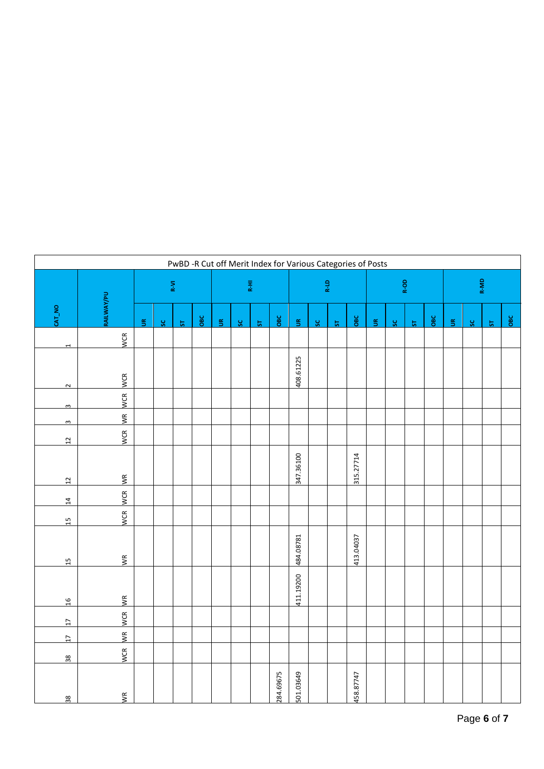|                          | PwBD -R Cut off Merit Index for Various Categories of Posts |                                |     |                 |     |                      |                         |                 |           |                      |     |                 |           |        |     |                 |     |                      |                         |                 |                         |
|--------------------------|-------------------------------------------------------------|--------------------------------|-----|-----------------|-----|----------------------|-------------------------|-----------------|-----------|----------------------|-----|-----------------|-----------|--------|-----|-----------------|-----|----------------------|-------------------------|-----------------|-------------------------|
|                          |                                                             | $\mathsf{R}\text{-}\mathsf{M}$ |     |                 |     |                      | R-LD<br>$\mathbb{R}^2$  |                 |           | R-OD                 |     |                 |           | R-MD   |     |                 |     |                      |                         |                 |                         |
| CAT_NO                   | <b>RAILWAY/PU</b>                                           | $\tilde{5}$                    | ပ္တ | $5\overline{5}$ | OBC | $\tilde{\mathbb{E}}$ | $\overline{\mathbf{c}}$ | $5\overline{a}$ | OBC       | $\tilde{\mathbb{E}}$ | ပ္တ | $5\overline{5}$ | овс       | $\leq$ | ပ္တ | $5\overline{5}$ | OBC | $\tilde{\mathbf{5}}$ | $\overline{\mathbf{s}}$ | $5\overline{a}$ | $\overline{\text{osc}}$ |
| $\overline{\phantom{0}}$ | WCR                                                         |                                |     |                 |     |                      |                         |                 |           |                      |     |                 |           |        |     |                 |     |                      |                         |                 |                         |
| $\sim$                   | <b>WCR</b>                                                  |                                |     |                 |     |                      |                         |                 |           | 408.61225            |     |                 |           |        |     |                 |     |                      |                         |                 |                         |
| $\omega$                 | <b>WCR</b>                                                  |                                |     |                 |     |                      |                         |                 |           |                      |     |                 |           |        |     |                 |     |                      |                         |                 |                         |
| $\omega$                 | $\sum_{i=1}^{n}$                                            |                                |     |                 |     |                      |                         |                 |           |                      |     |                 |           |        |     |                 |     |                      |                         |                 |                         |
| $\overline{12}$          | <b>WCR</b>                                                  |                                |     |                 |     |                      |                         |                 |           |                      |     |                 |           |        |     |                 |     |                      |                         |                 |                         |
| $\overline{12}$          | W <sup>R</sup>                                              |                                |     |                 |     |                      |                         |                 |           | 347.36100            |     |                 | 315.27714 |        |     |                 |     |                      |                         |                 |                         |
| $\frac{4}{1}$            | <b>WCR</b>                                                  |                                |     |                 |     |                      |                         |                 |           |                      |     |                 |           |        |     |                 |     |                      |                         |                 |                         |
| $\frac{1}{2}$            | WCR                                                         |                                |     |                 |     |                      |                         |                 |           |                      |     |                 |           |        |     |                 |     |                      |                         |                 |                         |
| $\frac{15}{1}$           | $\overline{M}$                                              |                                |     |                 |     |                      |                         |                 |           | 484.08781            |     |                 | 413.04037 |        |     |                 |     |                      |                         |                 |                         |
| $\frac{91}{2}$           | ΨR                                                          |                                |     |                 |     |                      |                         |                 |           | 411.19200            |     |                 |           |        |     |                 |     |                      |                         |                 |                         |
| $\overline{11}$          | <b>WCR</b>                                                  |                                |     |                 |     |                      |                         |                 |           |                      |     |                 |           |        |     |                 |     |                      |                         |                 |                         |
| $\overline{L}$           | $\sum_{i=1}^{n}$                                            |                                |     |                 |     |                      |                         |                 |           |                      |     |                 |           |        |     |                 |     |                      |                         |                 |                         |
| $\frac{8}{36}$           | <b>WCR</b>                                                  |                                |     |                 |     |                      |                         |                 |           |                      |     |                 |           |        |     |                 |     |                      |                         |                 |                         |
| $\frac{8}{36}$           | $\frac{1}{2}$                                               |                                |     |                 |     |                      |                         |                 | 284.69675 | 501.03649            |     |                 | 458.87747 |        |     |                 |     |                      |                         |                 |                         |